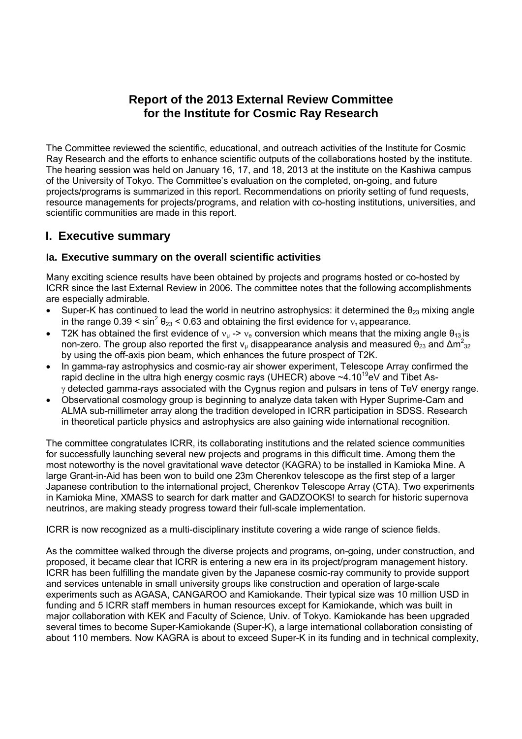# **Report of the 2013 External Review Committee for the Institute for Cosmic Ray Research**

The Committee reviewed the scientific, educational, and outreach activities of the Institute for Cosmic Ray Research and the efforts to enhance scientific outputs of the collaborations hosted by the institute. The hearing session was held on January 16, 17, and 18, 2013 at the institute on the Kashiwa campus of the University of Tokyo. The Committee's evaluation on the completed, on-going, and future projects/programs is summarized in this report. Recommendations on priority setting of fund requests, resource managements for projects/programs, and relation with co-hosting institutions, universities, and scientific communities are made in this report.

# **I. Executive summary**

# **Ia. Executive summary on the overall scientific activities**

Many exciting science results have been obtained by projects and programs hosted or co-hosted by ICRR since the last External Review in 2006. The committee notes that the following accomplishments are especially admirable.

- Super-K has continued to lead the world in neutrino astrophysics: it determined the  $\theta_{23}$  mixing angle in the range  $0.39 \le \sin^2 \theta_{23} \le 0.63$  and obtaining the first evidence for  $v_r$  appearance.
- T2K has obtained the first evidence of  $v_{\mu} \rightarrow v_{\mu}$  conversion which means that the mixing angle  $\theta_{13}$  is non-zero. The group also reported the first  $v_\mu$  disappearance analysis and measured  $θ_{23}$  and  $Δm^2_{32}$ by using the off-axis pion beam, which enhances the future prospect of T2K.
- In gamma-ray astrophysics and cosmic-ray air shower experiment, Telescope Array confirmed the rapid decline in the ultra high energy cosmic rays (UHECR) above  $\sim$ 4.10<sup>19</sup>eV and Tibet As- $\gamma$  detected gamma-rays associated with the Cygnus region and pulsars in tens of TeV energy range.
- Observational cosmology group is beginning to analyze data taken with Hyper Suprime-Cam and ALMA sub-millimeter array along the tradition developed in ICRR participation in SDSS. Research in theoretical particle physics and astrophysics are also gaining wide international recognition.

The committee congratulates ICRR, its collaborating institutions and the related science communities for successfully launching several new projects and programs in this difficult time. Among them the most noteworthy is the novel gravitational wave detector (KAGRA) to be installed in Kamioka Mine. A large Grant-in-Aid has been won to build one 23m Cherenkov telescope as the first step of a larger Japanese contribution to the international project, Cherenkov Telescope Array (CTA). Two experiments in Kamioka Mine, XMASS to search for dark matter and GADZOOKS! to search for historic supernova neutrinos, are making steady progress toward their full-scale implementation.

ICRR is now recognized as a multi-disciplinary institute covering a wide range of science fields.

As the committee walked through the diverse projects and programs, on-going, under construction, and proposed, it became clear that ICRR is entering a new era in its project/program management history. ICRR has been fulfilling the mandate given by the Japanese cosmic-ray community to provide support and services untenable in small university groups like construction and operation of large-scale experiments such as AGASA, CANGAROO and Kamiokande. Their typical size was 10 million USD in funding and 5 ICRR staff members in human resources except for Kamiokande, which was built in major collaboration with KEK and Faculty of Science, Univ. of Tokyo. Kamiokande has been upgraded several times to become Super-Kamiokande (Super-K), a large international collaboration consisting of about 110 members. Now KAGRA is about to exceed Super-K in its funding and in technical complexity,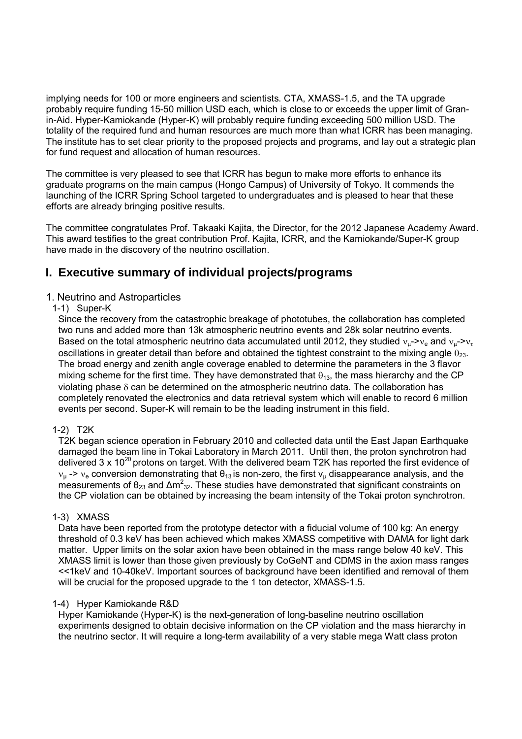implying needs for 100 or more engineers and scientists. CTA, XMASS-1.5, and the TA upgrade probably require funding 15-50 million USD each, which is close to or exceeds the upper limit of Granin-Aid. Hyper-Kamiokande (Hyper-K) will probably require funding exceeding 500 million USD. The totality of the required fund and human resources are much more than what ICRR has been managing. The institute has to set clear priority to the proposed projects and programs, and lay out a strategic plan for fund request and allocation of human resources.

The committee is very pleased to see that ICRR has begun to make more efforts to enhance its graduate programs on the main campus (Hongo Campus) of University of Tokyo. It commends the launching of the ICRR Spring School targeted to undergraduates and is pleased to hear that these efforts are already bringing positive results.

The committee congratulates Prof. Takaaki Kajita, the Director, for the 2012 Japanese Academy Award. This award testifies to the great contribution Prof. Kajita, ICRR, and the Kamiokande/Super-K group have made in the discovery of the neutrino oscillation.

# **I. Executive summary of individual projects/programs**

## 1. Neutrino and Astroparticles

### 1-1) Super-K

Since the recovery from the catastrophic breakage of phototubes, the collaboration has completed two runs and added more than 13k atmospheric neutrino events and 28k solar neutrino events. Based on the total atmospheric neutrino data accumulated until 2012, they studied  $v_{\mu}$ - $v_{\mu}$  and  $v_{\mu}$ - $v_{\tau}$ oscillations in greater detail than before and obtained the tightest constraint to the mixing angle  $\theta_{23}$ . The broad energy and zenith angle coverage enabled to determine the parameters in the 3 flavor mixing scheme for the first time. They have demonstrated that  $\theta_{13}$ , the mass hierarchy and the CP violating phase δ can be determined on the atmospheric neutrino data. The collaboration has completely renovated the electronics and data retrieval system which will enable to record 6 million events per second. Super-K will remain to be the leading instrument in this field.

### 1-2) T2K

T2K began science operation in February 2010 and collected data until the East Japan Earthquake damaged the beam line in Tokai Laboratory in March 2011. Until then, the proton synchrotron had delivered 3 x 10<sup>20</sup> protons on target. With the delivered beam T2K has reported the first evidence of  $v_{\mu}$  ->  $v_{\mu}$  conversion demonstrating that  $\theta_{13}$  is non-zero, the first  $v_{\mu}$  disappearance analysis, and the measurements of  $\theta_{23}$  and  $\Delta m^2_{32}$ . These studies have demonstrated that significant constraints on the CP violation can be obtained by increasing the beam intensity of the Tokai proton synchrotron.

### 1-3) XMASS

Data have been reported from the prototype detector with a fiducial volume of 100 kg: An energy threshold of 0.3 keV has been achieved which makes XMASS competitive with DAMA for light dark matter. Upper limits on the solar axion have been obtained in the mass range below 40 keV. This XMASS limit is lower than those given previously by CoGeNT and CDMS in the axion mass ranges <<1keV and 10-40keV. Important sources of background have been identified and removal of them will be crucial for the proposed upgrade to the 1 ton detector, XMASS-1.5.

### 1-4) Hyper Kamiokande R&D

Hyper Kamiokande (Hyper-K) is the next-generation of long-baseline neutrino oscillation experiments designed to obtain decisive information on the CP violation and the mass hierarchy in the neutrino sector. It will require a long-term availability of a very stable mega Watt class proton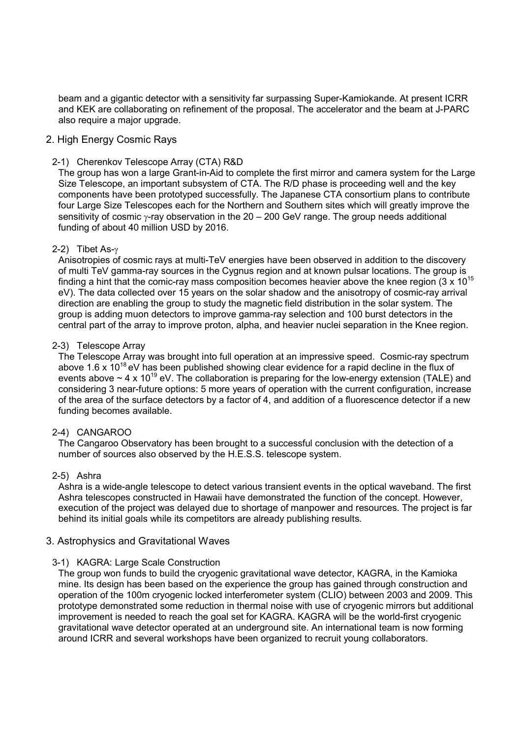beam and a gigantic detector with a sensitivity far surpassing Super-Kamiokande. At present ICRR and KEK are collaborating on refinement of the proposal. The accelerator and the beam at J-PARC also require a major upgrade.

#### 2. High Energy Cosmic Rays

#### 2-1) Cherenkov Telescope Array (CTA) R&D

The group has won a large Grant-in-Aid to complete the first mirror and camera system for the Large Size Telescope, an important subsystem of CTA. The R/D phase is proceeding well and the key components have been prototyped successfully. The Japanese CTA consortium plans to contribute four Large Size Telescopes each for the Northern and Southern sites which will greatly improve the sensitivity of cosmic γ-ray observation in the 20 – 200 GeV range. The group needs additional funding of about 40 million USD by 2016.

#### 2-2) Tibet As-γ

Anisotropies of cosmic rays at multi-TeV energies have been observed in addition to the discovery of multi TeV gamma-ray sources in the Cygnus region and at known pulsar locations. The group is finding a hint that the comic-ray mass composition becomes heavier above the knee region (3 x 10<sup>15</sup>) eV). The data collected over 15 years on the solar shadow and the anisotropy of cosmic-ray arrival direction are enabling the group to study the magnetic field distribution in the solar system. The group is adding muon detectors to improve gamma-ray selection and 100 burst detectors in the central part of the array to improve proton, alpha, and heavier nuclei separation in the Knee region.

#### 2-3) Telescope Array

The Telescope Array was brought into full operation at an impressive speed. Cosmic-ray spectrum above 1.6 x  $10^{18}$  eV has been published showing clear evidence for a rapid decline in the flux of events above  $\sim$  4 x 10<sup>19</sup> eV. The collaboration is preparing for the low-energy extension (TALE) and considering 3 near-future options: 5 more years of operation with the current configuration, increase of the area of the surface detectors by a factor of 4, and addition of a fluorescence detector if a new funding becomes available.

### 2-4) CANGAROO

The Cangaroo Observatory has been brought to a successful conclusion with the detection of a number of sources also observed by the H.E.S.S. telescope system.

#### 2-5) Ashra

Ashra is a wide-angle telescope to detect various transient events in the optical waveband. The first Ashra telescopes constructed in Hawaii have demonstrated the function of the concept. However, execution of the project was delayed due to shortage of manpower and resources. The project is far behind its initial goals while its competitors are already publishing results.

### 3. Astrophysics and Gravitational Waves

#### 3-1) KAGRA: Large Scale Construction

The group won funds to build the cryogenic gravitational wave detector, KAGRA, in the Kamioka mine. Its design has been based on the experience the group has gained through construction and operation of the 100m cryogenic locked interferometer system (CLIO) between 2003 and 2009. This prototype demonstrated some reduction in thermal noise with use of cryogenic mirrors but additional improvement is needed to reach the goal set for KAGRA. KAGRA will be the world-first cryogenic gravitational wave detector operated at an underground site. An international team is now forming around ICRR and several workshops have been organized to recruit young collaborators.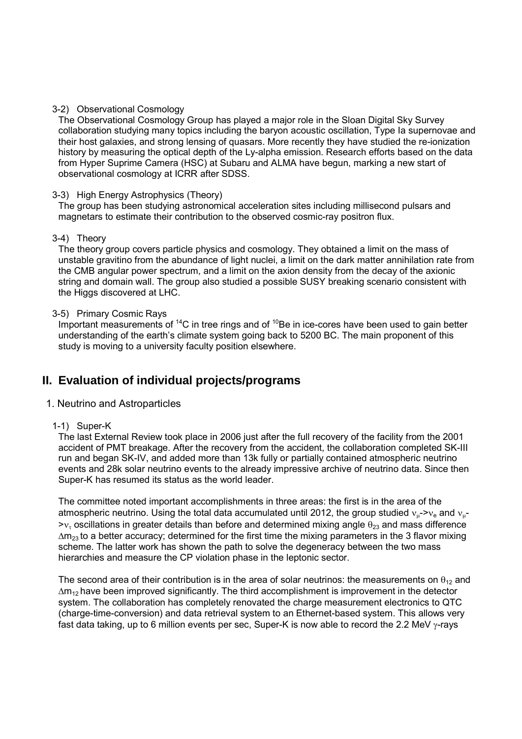#### 3-2) Observational Cosmology

The Observational Cosmology Group has played a major role in the Sloan Digital Sky Survey collaboration studying many topics including the baryon acoustic oscillation, Type Ia supernovae and their host galaxies, and strong lensing of quasars. More recently they have studied the re-ionization history by measuring the optical depth of the Ly-alpha emission. Research efforts based on the data from Hyper Suprime Camera (HSC) at Subaru and ALMA have begun, marking a new start of observational cosmology at ICRR after SDSS.

#### 3-3) High Energy Astrophysics (Theory)

The group has been studying astronomical acceleration sites including millisecond pulsars and magnetars to estimate their contribution to the observed cosmic-ray positron flux.

#### 3-4) Theory

The theory group covers particle physics and cosmology. They obtained a limit on the mass of unstable gravitino from the abundance of light nuclei, a limit on the dark matter annihilation rate from the CMB angular power spectrum, and a limit on the axion density from the decay of the axionic string and domain wall. The group also studied a possible SUSY breaking scenario consistent with the Higgs discovered at LHC.

#### 3-5) Primary Cosmic Rays

Important measurements of <sup>14</sup>C in tree rings and of <sup>10</sup>Be in ice-cores have been used to gain better understanding of the earth's climate system going back to 5200 BC. The main proponent of this study is moving to a university faculty position elsewhere.

# **II. Evaluation of individual projects/programs**

### 1. Neutrino and Astroparticles

### 1-1) Super-K

The last External Review took place in 2006 just after the full recovery of the facility from the 2001 accident of PMT breakage. After the recovery from the accident, the collaboration completed SK-III run and began SK-IV, and added more than 13k fully or partially contained atmospheric neutrino events and 28k solar neutrino events to the already impressive archive of neutrino data. Since then Super-K has resumed its status as the world leader.

The committee noted important accomplishments in three areas: the first is in the area of the atmospheric neutrino. Using the total data accumulated until 2012, the group studied  $v_{\mu}$ - $v_{\rm e}$  and  $v_{\mu}$ - $\rightarrow$ ν<sub>τ</sub> oscillations in greater details than before and determined mixing angle  $\theta_{23}$  and mass difference  $\Delta m_{23}$  to a better accuracy; determined for the first time the mixing parameters in the 3 flavor mixing scheme. The latter work has shown the path to solve the degeneracy between the two mass hierarchies and measure the CP violation phase in the leptonic sector.

The second area of their contribution is in the area of solar neutrinos: the measurements on  $\theta_{12}$  and  $\Delta m_{12}$  have been improved significantly. The third accomplishment is improvement in the detector system. The collaboration has completely renovated the charge measurement electronics to QTC (charge-time-conversion) and data retrieval system to an Ethernet-based system. This allows very fast data taking, up to 6 million events per sec, Super-K is now able to record the 2.2 MeV γ-rays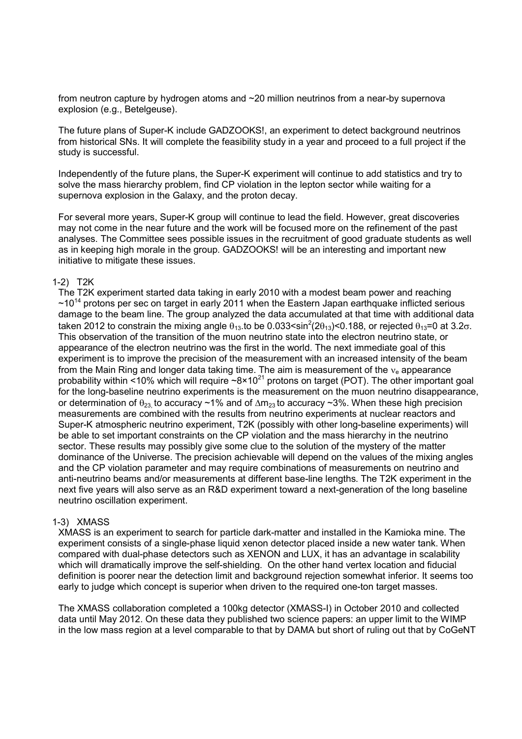from neutron capture by hydrogen atoms and ~20 million neutrinos from a near-by supernova explosion (e.g., Betelgeuse).

The future plans of Super-K include GADZOOKS!, an experiment to detect background neutrinos from historical SNs. It will complete the feasibility study in a year and proceed to a full project if the study is successful.

Independently of the future plans, the Super-K experiment will continue to add statistics and try to solve the mass hierarchy problem, find CP violation in the lepton sector while waiting for a supernova explosion in the Galaxy, and the proton decay.

For several more years, Super-K group will continue to lead the field. However, great discoveries may not come in the near future and the work will be focused more on the refinement of the past analyses. The Committee sees possible issues in the recruitment of good graduate students as well as in keeping high morale in the group. GADZOOKS! will be an interesting and important new initiative to mitigate these issues.

#### 1-2) T2K

The T2K experiment started data taking in early 2010 with a modest beam power and reaching  $\sim$ 10<sup>14</sup> protons per sec on target in early 2011 when the Eastern Japan earthquake inflicted serious damage to the beam line. The group analyzed the data accumulated at that time with additional data taken 2012 to constrain the mixing angle  $\theta_{13}$  to be 0.033<sin<sup>2</sup>(2 $\theta_{13}$ )<0.188, or rejected  $\theta_{13}$ =0 at 3.2 $\sigma$ . This observation of the transition of the muon neutrino state into the electron neutrino state, or appearance of the electron neutrino was the first in the world. The next immediate goal of this experiment is to improve the precision of the measurement with an increased intensity of the beam from the Main Ring and longer data taking time. The aim is measurement of the  $v<sub>e</sub>$  appearance probability within <10% which will require  $\sim 8 \times 10^{21}$  protons on target (POT). The other important goal for the long-baseline neutrino experiments is the measurement on the muon neutrino disappearance, or determination of  $\theta_{23}$  to accuracy ~1% and of  $\Delta m_{23}$  to accuracy ~3%. When these high precision measurements are combined with the results from neutrino experiments at nuclear reactors and Super-K atmospheric neutrino experiment, T2K (possibly with other long-baseline experiments) will be able to set important constraints on the CP violation and the mass hierarchy in the neutrino sector. These results may possibly give some clue to the solution of the mystery of the matter dominance of the Universe. The precision achievable will depend on the values of the mixing angles and the CP violation parameter and may require combinations of measurements on neutrino and anti-neutrino beams and/or measurements at different base-line lengths. The T2K experiment in the next five years will also serve as an R&D experiment toward a next-generation of the long baseline neutrino oscillation experiment.

#### 1-3) XMASS

XMASS is an experiment to search for particle dark-matter and installed in the Kamioka mine. The experiment consists of a single-phase liquid xenon detector placed inside a new water tank. When compared with dual-phase detectors such as XENON and LUX, it has an advantage in scalability which will dramatically improve the self-shielding. On the other hand vertex location and fiducial definition is poorer near the detection limit and background rejection somewhat inferior. It seems too early to judge which concept is superior when driven to the required one-ton target masses.

The XMASS collaboration completed a 100kg detector (XMASS-I) in October 2010 and collected data until May 2012. On these data they published two science papers: an upper limit to the WIMP in the low mass region at a level comparable to that by DAMA but short of ruling out that by CoGeNT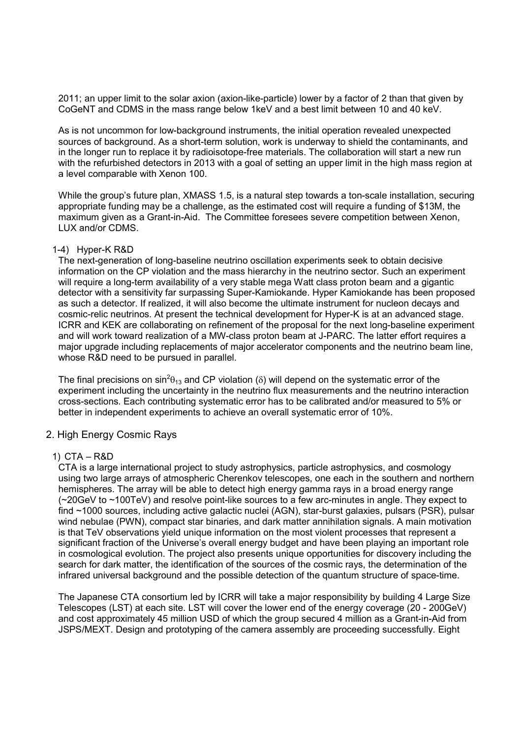2011; an upper limit to the solar axion (axion-like-particle) lower by a factor of 2 than that given by CoGeNT and CDMS in the mass range below 1keV and a best limit between 10 and 40 keV.

As is not uncommon for low-background instruments, the initial operation revealed unexpected sources of background. As a short-term solution, work is underway to shield the contaminants, and in the longer run to replace it by radioisotope-free materials. The collaboration will start a new run with the refurbished detectors in 2013 with a goal of setting an upper limit in the high mass region at a level comparable with Xenon 100.

While the group's future plan, XMASS 1.5, is a natural step towards a ton-scale installation, securing appropriate funding may be a challenge, as the estimated cost will require a funding of \$13M, the maximum given as a Grant-in-Aid. The Committee foresees severe competition between Xenon, LUX and/or CDMS.

#### 1-4) Hyper-K R&D

The next-generation of long-baseline neutrino oscillation experiments seek to obtain decisive information on the CP violation and the mass hierarchy in the neutrino sector. Such an experiment will require a long-term availability of a very stable mega Watt class proton beam and a gigantic detector with a sensitivity far surpassing Super-Kamiokande. Hyper Kamiokande has been proposed as such a detector. If realized, it will also become the ultimate instrument for nucleon decays and cosmic-relic neutrinos. At present the technical development for Hyper-K is at an advanced stage. ICRR and KEK are collaborating on refinement of the proposal for the next long-baseline experiment and will work toward realization of a MW-class proton beam at J-PARC. The latter effort requires a major upgrade including replacements of major accelerator components and the neutrino beam line, whose R&D need to be pursued in parallel.

The final precisions on sin<sup>2</sup> $\theta_{13}$  and CP violation ( $\delta$ ) will depend on the systematic error of the experiment including the uncertainty in the neutrino flux measurements and the neutrino interaction cross-sections. Each contributing systematic error has to be calibrated and/or measured to 5% or better in independent experiments to achieve an overall systematic error of 10%.

### 2. High Energy Cosmic Rays

#### 1) CTA – R&D

CTA is a large international project to study astrophysics, particle astrophysics, and cosmology using two large arrays of atmospheric Cherenkov telescopes, one each in the southern and northern hemispheres. The array will be able to detect high energy gamma rays in a broad energy range (~20GeV to ~100TeV) and resolve point-like sources to a few arc-minutes in angle. They expect to find ~1000 sources, including active galactic nuclei (AGN), star-burst galaxies, pulsars (PSR), pulsar wind nebulae (PWN), compact star binaries, and dark matter annihilation signals. A main motivation is that TeV observations yield unique information on the most violent processes that represent a significant fraction of the Universe's overall energy budget and have been playing an important role in cosmological evolution. The project also presents unique opportunities for discovery including the search for dark matter, the identification of the sources of the cosmic rays, the determination of the infrared universal background and the possible detection of the quantum structure of space-time.

The Japanese CTA consortium led by ICRR will take a major responsibility by building 4 Large Size Telescopes (LST) at each site. LST will cover the lower end of the energy coverage (20 - 200GeV) and cost approximately 45 million USD of which the group secured 4 million as a Grant-in-Aid from JSPS/MEXT. Design and prototyping of the camera assembly are proceeding successfully. Eight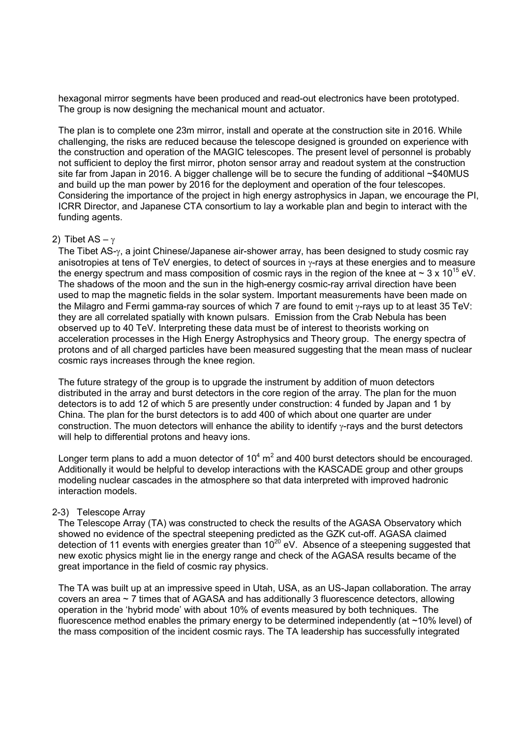hexagonal mirror segments have been produced and read-out electronics have been prototyped. The group is now designing the mechanical mount and actuator.

The plan is to complete one 23m mirror, install and operate at the construction site in 2016. While challenging, the risks are reduced because the telescope designed is grounded on experience with the construction and operation of the MAGIC telescopes. The present level of personnel is probably not sufficient to deploy the first mirror, photon sensor array and readout system at the construction site far from Japan in 2016. A bigger challenge will be to secure the funding of additional ~\$40MUS and build up the man power by 2016 for the deployment and operation of the four telescopes. Considering the importance of the project in high energy astrophysics in Japan, we encourage the PI, ICRR Director, and Japanese CTA consortium to lay a workable plan and begin to interact with the funding agents.

#### 2) Tibet AS – γ

The Tibet AS-γ, a joint Chinese/Japanese air-shower array, has been designed to study cosmic ray anisotropies at tens of TeV energies, to detect of sources in  $\gamma$ -rays at these energies and to measure the energy spectrum and mass composition of cosmic rays in the region of the knee at  $\sim 3 \times 10^{15}$  eV. The shadows of the moon and the sun in the high-energy cosmic-ray arrival direction have been used to map the magnetic fields in the solar system. Important measurements have been made on the Milagro and Fermi gamma-ray sources of which 7 are found to emit γ-rays up to at least 35 TeV: they are all correlated spatially with known pulsars. Emission from the Crab Nebula has been observed up to 40 TeV. Interpreting these data must be of interest to theorists working on acceleration processes in the High Energy Astrophysics and Theory group. The energy spectra of protons and of all charged particles have been measured suggesting that the mean mass of nuclear cosmic rays increases through the knee region.

The future strategy of the group is to upgrade the instrument by addition of muon detectors distributed in the array and burst detectors in the core region of the array. The plan for the muon detectors is to add 12 of which 5 are presently under construction: 4 funded by Japan and 1 by China. The plan for the burst detectors is to add 400 of which about one quarter are under construction. The muon detectors will enhance the ability to identify γ-rays and the burst detectors will help to differential protons and heavy ions.

Longer term plans to add a muon detector of  $10^4$  m<sup>2</sup> and 400 burst detectors should be encouraged. Additionally it would be helpful to develop interactions with the KASCADE group and other groups modeling nuclear cascades in the atmosphere so that data interpreted with improved hadronic interaction models.

#### 2-3) Telescope Array

The Telescope Array (TA) was constructed to check the results of the AGASA Observatory which showed no evidence of the spectral steepening predicted as the GZK cut-off. AGASA claimed detection of 11 events with energies greater than  $10^{20}$  eV. Absence of a steepening suggested that new exotic physics might lie in the energy range and check of the AGASA results became of the great importance in the field of cosmic ray physics.

The TA was built up at an impressive speed in Utah, USA, as an US-Japan collaboration. The array covers an area  $\sim$  7 times that of AGASA and has additionally 3 fluorescence detectors, allowing operation in the 'hybrid mode' with about 10% of events measured by both techniques. The fluorescence method enables the primary energy to be determined independently (at ~10% level) of the mass composition of the incident cosmic rays. The TA leadership has successfully integrated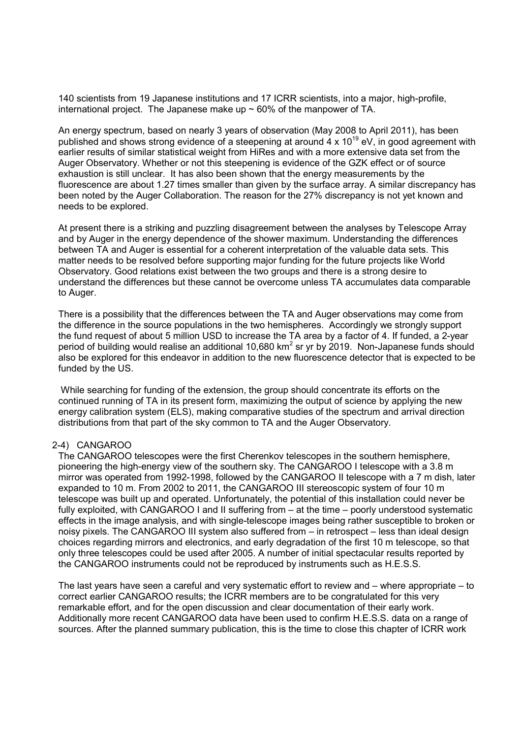140 scientists from 19 Japanese institutions and 17 ICRR scientists, into a major, high-profile, international project. The Japanese make up  $\sim$  60% of the manpower of TA.

An energy spectrum, based on nearly 3 years of observation (May 2008 to April 2011), has been published and shows strong evidence of a steepening at around  $4 \times 10^{19}$  eV, in good agreement with earlier results of similar statistical weight from HiRes and with a more extensive data set from the Auger Observatory. Whether or not this steepening is evidence of the GZK effect or of source exhaustion is still unclear. It has also been shown that the energy measurements by the fluorescence are about 1.27 times smaller than given by the surface array. A similar discrepancy has been noted by the Auger Collaboration. The reason for the 27% discrepancy is not yet known and needs to be explored.

At present there is a striking and puzzling disagreement between the analyses by Telescope Array and by Auger in the energy dependence of the shower maximum. Understanding the differences between TA and Auger is essential for a coherent interpretation of the valuable data sets. This matter needs to be resolved before supporting major funding for the future projects like World Observatory. Good relations exist between the two groups and there is a strong desire to understand the differences but these cannot be overcome unless TA accumulates data comparable to Auger.

There is a possibility that the differences between the TA and Auger observations may come from the difference in the source populations in the two hemispheres. Accordingly we strongly support the fund request of about 5 million USD to increase the TA area by a factor of 4. If funded, a 2-year period of building would realise an additional 10,680 km<sup>2</sup> sr yr by 2019. Non-Japanese funds should also be explored for this endeavor in addition to the new fluorescence detector that is expected to be funded by the US.

 While searching for funding of the extension, the group should concentrate its efforts on the continued running of TA in its present form, maximizing the output of science by applying the new energy calibration system (ELS), making comparative studies of the spectrum and arrival direction distributions from that part of the sky common to TA and the Auger Observatory.

#### 2-4) CANGAROO

The CANGAROO telescopes were the first Cherenkov telescopes in the southern hemisphere, pioneering the high-energy view of the southern sky. The CANGAROO I telescope with a 3.8 m mirror was operated from 1992-1998, followed by the CANGAROO II telescope with a 7 m dish, later expanded to 10 m. From 2002 to 2011, the CANGAROO III stereoscopic system of four 10 m telescope was built up and operated. Unfortunately, the potential of this installation could never be fully exploited, with CANGAROO I and II suffering from – at the time – poorly understood systematic effects in the image analysis, and with single-telescope images being rather susceptible to broken or noisy pixels. The CANGAROO III system also suffered from – in retrospect – less than ideal design choices regarding mirrors and electronics, and early degradation of the first 10 m telescope, so that only three telescopes could be used after 2005. A number of initial spectacular results reported by the CANGAROO instruments could not be reproduced by instruments such as H.E.S.S.

The last years have seen a careful and very systematic effort to review and – where appropriate – to correct earlier CANGAROO results; the ICRR members are to be congratulated for this very remarkable effort, and for the open discussion and clear documentation of their early work. Additionally more recent CANGAROO data have been used to confirm H.E.S.S. data on a range of sources. After the planned summary publication, this is the time to close this chapter of ICRR work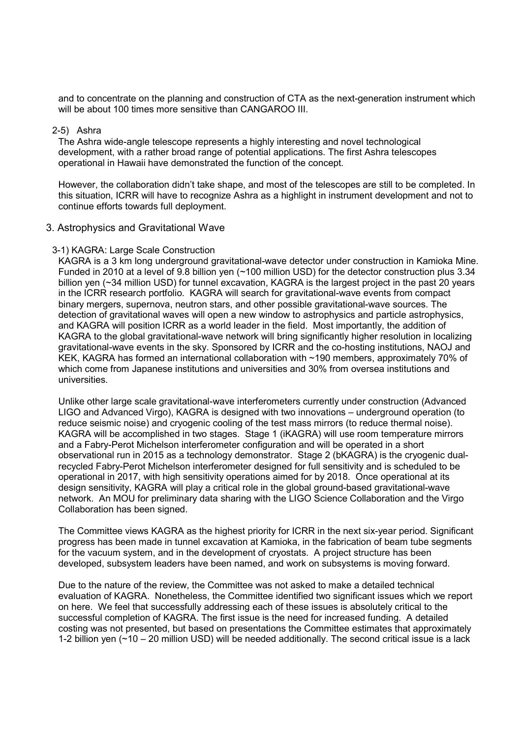and to concentrate on the planning and construction of CTA as the next-generation instrument which will be about 100 times more sensitive than CANGAROO III.

#### 2-5) Ashra

The Ashra wide-angle telescope represents a highly interesting and novel technological development, with a rather broad range of potential applications. The first Ashra telescopes operational in Hawaii have demonstrated the function of the concept.

However, the collaboration didn't take shape, and most of the telescopes are still to be completed. In this situation, ICRR will have to recognize Ashra as a highlight in instrument development and not to continue efforts towards full deployment.

#### 3. Astrophysics and Gravitational Wave

#### 3-1) KAGRA: Large Scale Construction

KAGRA is a 3 km long underground gravitational-wave detector under construction in Kamioka Mine. Funded in 2010 at a level of 9.8 billion yen (~100 million USD) for the detector construction plus 3.34 billion yen (~34 million USD) for tunnel excavation, KAGRA is the largest project in the past 20 years in the ICRR research portfolio. KAGRA will search for gravitational-wave events from compact binary mergers, supernova, neutron stars, and other possible gravitational-wave sources. The detection of gravitational waves will open a new window to astrophysics and particle astrophysics, and KAGRA will position ICRR as a world leader in the field. Most importantly, the addition of KAGRA to the global gravitational-wave network will bring significantly higher resolution in localizing gravitational-wave events in the sky. Sponsored by ICRR and the co-hosting institutions, NAOJ and KEK, KAGRA has formed an international collaboration with ~190 members, approximately 70% of which come from Japanese institutions and universities and 30% from oversea institutions and universities.

Unlike other large scale gravitational-wave interferometers currently under construction (Advanced LIGO and Advanced Virgo), KAGRA is designed with two innovations – underground operation (to reduce seismic noise) and cryogenic cooling of the test mass mirrors (to reduce thermal noise). KAGRA will be accomplished in two stages. Stage 1 (iKAGRA) will use room temperature mirrors and a Fabry-Perot Michelson interferometer configuration and will be operated in a short observational run in 2015 as a technology demonstrator. Stage 2 (bKAGRA) is the cryogenic dualrecycled Fabry-Perot Michelson interferometer designed for full sensitivity and is scheduled to be operational in 2017, with high sensitivity operations aimed for by 2018. Once operational at its design sensitivity, KAGRA will play a critical role in the global ground-based gravitational-wave network. An MOU for preliminary data sharing with the LIGO Science Collaboration and the Virgo Collaboration has been signed.

The Committee views KAGRA as the highest priority for ICRR in the next six-year period. Significant progress has been made in tunnel excavation at Kamioka, in the fabrication of beam tube segments for the vacuum system, and in the development of cryostats. A project structure has been developed, subsystem leaders have been named, and work on subsystems is moving forward.

Due to the nature of the review, the Committee was not asked to make a detailed technical evaluation of KAGRA. Nonetheless, the Committee identified two significant issues which we report on here. We feel that successfully addressing each of these issues is absolutely critical to the successful completion of KAGRA. The first issue is the need for increased funding. A detailed costing was not presented, but based on presentations the Committee estimates that approximately 1-2 billion yen  $($  $\sim$ 10 – 20 million USD) will be needed additionally. The second critical issue is a lack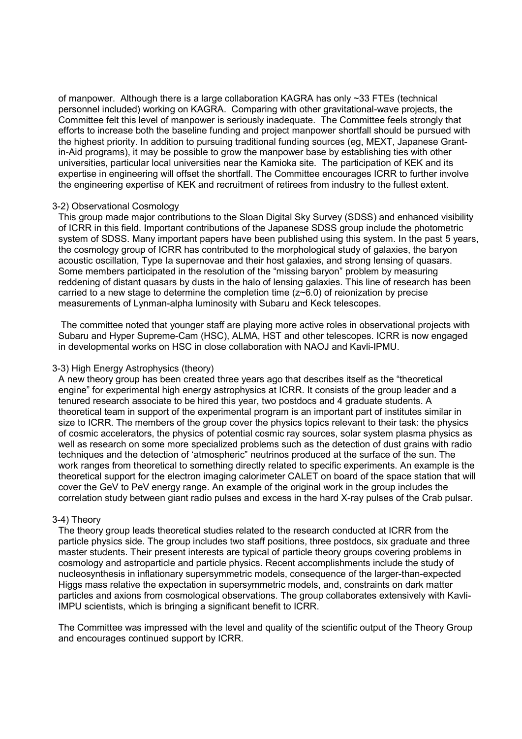of manpower. Although there is a large collaboration KAGRA has only ~33 FTEs (technical personnel included) working on KAGRA. Comparing with other gravitational-wave projects, the Committee felt this level of manpower is seriously inadequate. The Committee feels strongly that efforts to increase both the baseline funding and project manpower shortfall should be pursued with the highest priority. In addition to pursuing traditional funding sources (eg, MEXT, Japanese Grantin-Aid programs), it may be possible to grow the manpower base by establishing ties with other universities, particular local universities near the Kamioka site. The participation of KEK and its expertise in engineering will offset the shortfall. The Committee encourages ICRR to further involve the engineering expertise of KEK and recruitment of retirees from industry to the fullest extent.

#### 3-2) Observational Cosmology

This group made major contributions to the Sloan Digital Sky Survey (SDSS) and enhanced visibility of ICRR in this field. Important contributions of the Japanese SDSS group include the photometric system of SDSS. Many important papers have been published using this system. In the past 5 years, the cosmology group of ICRR has contributed to the morphological study of galaxies, the baryon acoustic oscillation, Type Ia supernovae and their host galaxies, and strong lensing of quasars. Some members participated in the resolution of the "missing baryon" problem by measuring reddening of distant quasars by dusts in the halo of lensing galaxies. This line of research has been carried to a new stage to determine the completion time  $(z<sub>0</sub>, 0)$  of reionization by precise measurements of Lynman-alpha luminosity with Subaru and Keck telescopes.

 The committee noted that younger staff are playing more active roles in observational projects with Subaru and Hyper Supreme-Cam (HSC), ALMA, HST and other telescopes. ICRR is now engaged in developmental works on HSC in close collaboration with NAOJ and Kavli-IPMU.

#### 3-3) High Energy Astrophysics (theory)

A new theory group has been created three years ago that describes itself as the "theoretical engine" for experimental high energy astrophysics at ICRR. It consists of the group leader and a tenured research associate to be hired this year, two postdocs and 4 graduate students. A theoretical team in support of the experimental program is an important part of institutes similar in size to ICRR. The members of the group cover the physics topics relevant to their task: the physics of cosmic accelerators, the physics of potential cosmic ray sources, solar system plasma physics as well as research on some more specialized problems such as the detection of dust grains with radio techniques and the detection of 'atmospheric" neutrinos produced at the surface of the sun. The work ranges from theoretical to something directly related to specific experiments. An example is the theoretical support for the electron imaging calorimeter CALET on board of the space station that will cover the GeV to PeV energy range. An example of the original work in the group includes the correlation study between giant radio pulses and excess in the hard X-ray pulses of the Crab pulsar.

#### 3-4) Theory

The theory group leads theoretical studies related to the research conducted at ICRR from the particle physics side. The group includes two staff positions, three postdocs, six graduate and three master students. Their present interests are typical of particle theory groups covering problems in cosmology and astroparticle and particle physics. Recent accomplishments include the study of nucleosynthesis in inflationary supersymmetric models, consequence of the larger-than-expected Higgs mass relative the expectation in supersymmetric models, and, constraints on dark matter particles and axions from cosmological observations. The group collaborates extensively with Kavli-IMPU scientists, which is bringing a significant benefit to ICRR.

The Committee was impressed with the level and quality of the scientific output of the Theory Group and encourages continued support by ICRR.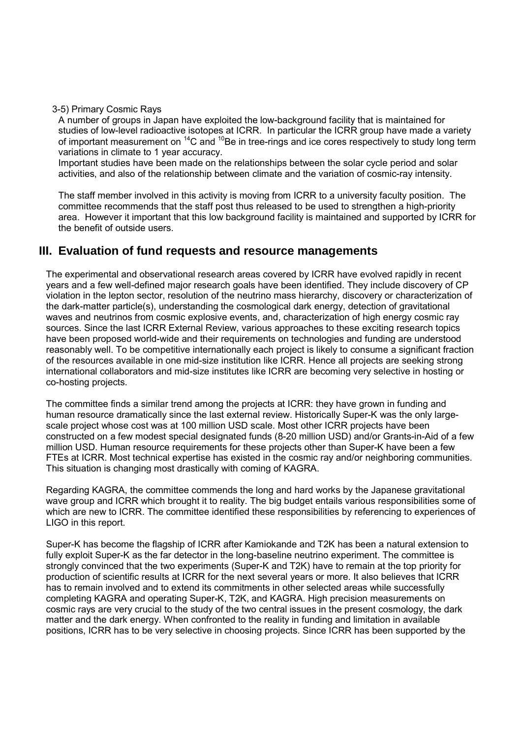#### 3-5) Primary Cosmic Rays

A number of groups in Japan have exploited the low-background facility that is maintained for studies of low-level radioactive isotopes at ICRR. In particular the ICRR group have made a variety of important measurement on  $^{14}$ C and  $^{10}$ Be in tree-rings and ice cores respectively to study long term variations in climate to 1 year accuracy.

Important studies have been made on the relationships between the solar cycle period and solar activities, and also of the relationship between climate and the variation of cosmic-ray intensity.

The staff member involved in this activity is moving from ICRR to a university faculty position. The committee recommends that the staff post thus released to be used to strengthen a high-priority area. However it important that this low background facility is maintained and supported by ICRR for the benefit of outside users.

# **III. Evaluation of fund requests and resource managements**

The experimental and observational research areas covered by ICRR have evolved rapidly in recent years and a few well-defined major research goals have been identified. They include discovery of CP violation in the lepton sector, resolution of the neutrino mass hierarchy, discovery or characterization of the dark-matter particle(s), understanding the cosmological dark energy, detection of gravitational waves and neutrinos from cosmic explosive events, and, characterization of high energy cosmic ray sources. Since the last ICRR External Review, various approaches to these exciting research topics have been proposed world-wide and their requirements on technologies and funding are understood reasonably well. To be competitive internationally each project is likely to consume a significant fraction of the resources available in one mid-size institution like ICRR. Hence all projects are seeking strong international collaborators and mid-size institutes like ICRR are becoming very selective in hosting or co-hosting projects.

The committee finds a similar trend among the projects at ICRR: they have grown in funding and human resource dramatically since the last external review. Historically Super-K was the only largescale project whose cost was at 100 million USD scale. Most other ICRR projects have been constructed on a few modest special designated funds (8-20 million USD) and/or Grants-in-Aid of a few million USD. Human resource requirements for these projects other than Super-K have been a few FTEs at ICRR. Most technical expertise has existed in the cosmic ray and/or neighboring communities. This situation is changing most drastically with coming of KAGRA.

Regarding KAGRA, the committee commends the long and hard works by the Japanese gravitational wave group and ICRR which brought it to reality. The big budget entails various responsibilities some of which are new to ICRR. The committee identified these responsibilities by referencing to experiences of LIGO in this report.

Super-K has become the flagship of ICRR after Kamiokande and T2K has been a natural extension to fully exploit Super-K as the far detector in the long-baseline neutrino experiment. The committee is strongly convinced that the two experiments (Super-K and T2K) have to remain at the top priority for production of scientific results at ICRR for the next several years or more. It also believes that ICRR has to remain involved and to extend its commitments in other selected areas while successfully completing KAGRA and operating Super-K, T2K, and KAGRA. High precision measurements on cosmic rays are very crucial to the study of the two central issues in the present cosmology, the dark matter and the dark energy. When confronted to the reality in funding and limitation in available positions, ICRR has to be very selective in choosing projects. Since ICRR has been supported by the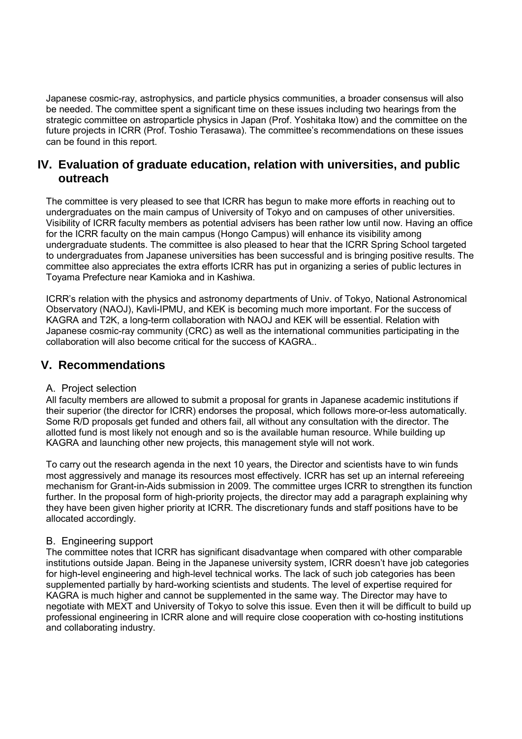Japanese cosmic-ray, astrophysics, and particle physics communities, a broader consensus will also be needed. The committee spent a significant time on these issues including two hearings from the strategic committee on astroparticle physics in Japan (Prof. Yoshitaka Itow) and the committee on the future projects in ICRR (Prof. Toshio Terasawa). The committee's recommendations on these issues can be found in this report.

# **IV. Evaluation of graduate education, relation with universities, and public outreach**

The committee is very pleased to see that ICRR has begun to make more efforts in reaching out to undergraduates on the main campus of University of Tokyo and on campuses of other universities. Visibility of ICRR faculty members as potential advisers has been rather low until now. Having an office for the ICRR faculty on the main campus (Hongo Campus) will enhance its visibility among undergraduate students. The committee is also pleased to hear that the ICRR Spring School targeted to undergraduates from Japanese universities has been successful and is bringing positive results. The committee also appreciates the extra efforts ICRR has put in organizing a series of public lectures in Toyama Prefecture near Kamioka and in Kashiwa.

ICRR's relation with the physics and astronomy departments of Univ. of Tokyo, National Astronomical Observatory (NAOJ), Kavli-IPMU, and KEK is becoming much more important. For the success of KAGRA and T2K, a long-term collaboration with NAOJ and KEK will be essential. Relation with Japanese cosmic-ray community (CRC) as well as the international communities participating in the collaboration will also become critical for the success of KAGRA..

# **V. Recommendations**

# A. Project selection

All faculty members are allowed to submit a proposal for grants in Japanese academic institutions if their superior (the director for ICRR) endorses the proposal, which follows more-or-less automatically. Some R/D proposals get funded and others fail, all without any consultation with the director. The allotted fund is most likely not enough and so is the available human resource. While building up KAGRA and launching other new projects, this management style will not work.

To carry out the research agenda in the next 10 years, the Director and scientists have to win funds most aggressively and manage its resources most effectively. ICRR has set up an internal refereeing mechanism for Grant-in-Aids submission in 2009. The committee urges ICRR to strengthen its function further. In the proposal form of high-priority projects, the director may add a paragraph explaining why they have been given higher priority at ICRR. The discretionary funds and staff positions have to be allocated accordingly.

# B. Engineering support

The committee notes that ICRR has significant disadvantage when compared with other comparable institutions outside Japan. Being in the Japanese university system, ICRR doesn't have job categories for high-level engineering and high-level technical works. The lack of such job categories has been supplemented partially by hard-working scientists and students. The level of expertise required for KAGRA is much higher and cannot be supplemented in the same way. The Director may have to negotiate with MEXT and University of Tokyo to solve this issue. Even then it will be difficult to build up professional engineering in ICRR alone and will require close cooperation with co-hosting institutions and collaborating industry.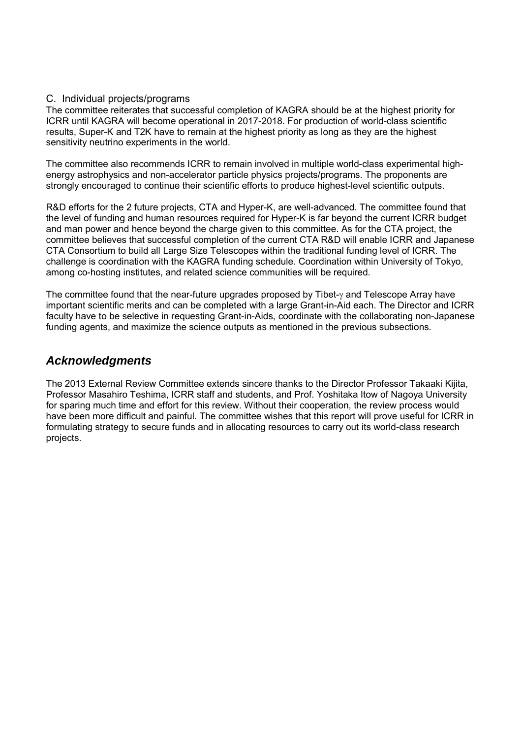#### C. Individual projects/programs

The committee reiterates that successful completion of KAGRA should be at the highest priority for ICRR until KAGRA will become operational in 2017-2018. For production of world-class scientific results, Super-K and T2K have to remain at the highest priority as long as they are the highest sensitivity neutrino experiments in the world.

The committee also recommends ICRR to remain involved in multiple world-class experimental highenergy astrophysics and non-accelerator particle physics projects/programs. The proponents are strongly encouraged to continue their scientific efforts to produce highest-level scientific outputs.

R&D efforts for the 2 future projects, CTA and Hyper-K, are well-advanced. The committee found that the level of funding and human resources required for Hyper-K is far beyond the current ICRR budget and man power and hence beyond the charge given to this committee. As for the CTA project, the committee believes that successful completion of the current CTA R&D will enable ICRR and Japanese CTA Consortium to build all Large Size Telescopes within the traditional funding level of ICRR. The challenge is coordination with the KAGRA funding schedule. Coordination within University of Tokyo, among co-hosting institutes, and related science communities will be required.

The committee found that the near-future upgrades proposed by Tibet-γ and Telescope Array have important scientific merits and can be completed with a large Grant-in-Aid each. The Director and ICRR faculty have to be selective in requesting Grant-in-Aids, coordinate with the collaborating non-Japanese funding agents, and maximize the science outputs as mentioned in the previous subsections.

# *Acknowledgments*

The 2013 External Review Committee extends sincere thanks to the Director Professor Takaaki Kijita, Professor Masahiro Teshima, ICRR staff and students, and Prof. Yoshitaka Itow of Nagoya University for sparing much time and effort for this review. Without their cooperation, the review process would have been more difficult and painful. The committee wishes that this report will prove useful for ICRR in formulating strategy to secure funds and in allocating resources to carry out its world-class research projects.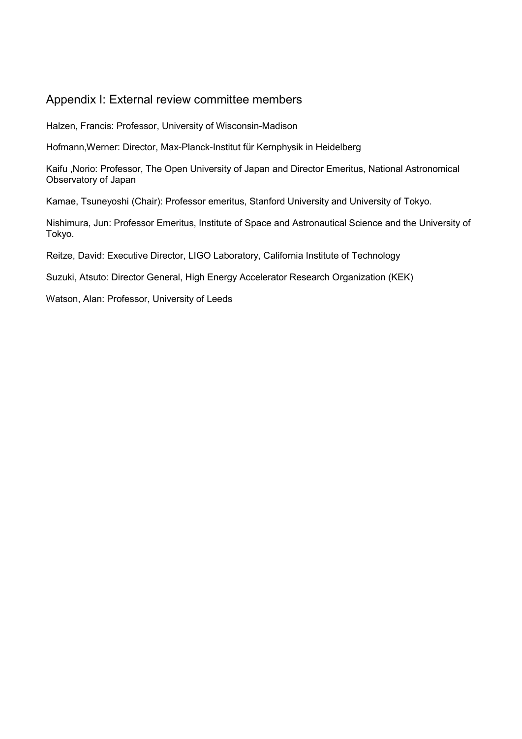# Appendix I: External review committee members

Halzen, Francis: Professor, University of Wisconsin-Madison

Hofmann,Werner: Director, Max-Planck-Institut für Kernphysik in Heidelberg

Kaifu ,Norio: Professor, The Open University of Japan and Director Emeritus, National Astronomical Observatory of Japan

Kamae, Tsuneyoshi (Chair): Professor emeritus, Stanford University and University of Tokyo.

Nishimura, Jun: Professor Emeritus, Institute of Space and Astronautical Science and the University of Tokyo.

Reitze, David: Executive Director, LIGO Laboratory, California Institute of Technology

Suzuki, Atsuto: Director General, High Energy Accelerator Research Organization (KEK)

Watson, Alan: Professor, University of Leeds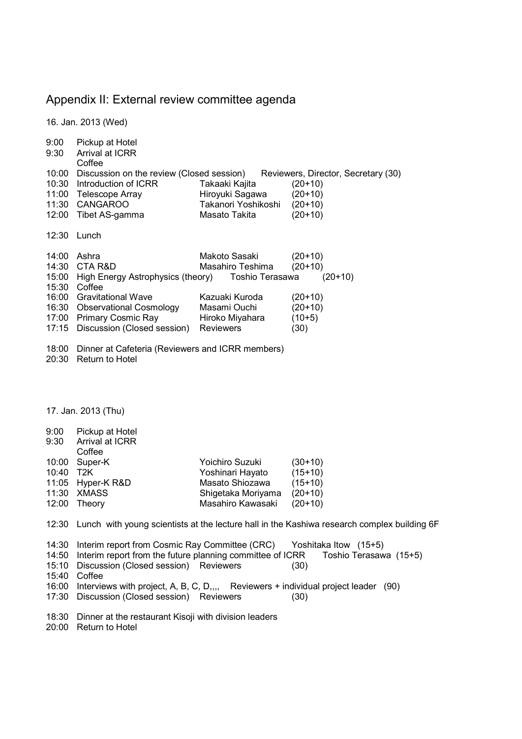# Appendix II: External review committee agenda

16. Jan. 2013 (Wed)

| 9:00<br>9:30<br>10:00<br>10:30<br>11:00                              | Pickup at Hotel<br>Arrival at ICRR<br>Coffee<br>Discussion on the review (Closed session)<br>Introduction of ICRR<br>Telescope Array                                                                                      | Takaaki Kajita<br>Hiroyuki Sagawa                                                                                             | Reviewers, Director, Secretary (30)<br>$(20+10)$<br>$(20+10)$                     |
|----------------------------------------------------------------------|---------------------------------------------------------------------------------------------------------------------------------------------------------------------------------------------------------------------------|-------------------------------------------------------------------------------------------------------------------------------|-----------------------------------------------------------------------------------|
| 11:30<br>12:00                                                       | <b>CANGAROO</b><br>Tibet AS-gamma                                                                                                                                                                                         | Takanori Yoshikoshi<br>Masato Takita                                                                                          | $(20+10)$<br>$(20+10)$                                                            |
| 12:30                                                                | Lunch                                                                                                                                                                                                                     |                                                                                                                               |                                                                                   |
| 14:00<br>14:30<br>15:00<br>15:30<br>16:00<br>16:30<br>17:00<br>17:15 | Ashra<br>CTA R&D<br>High Energy Astrophysics (theory)<br>Coffee<br><b>Gravitational Wave</b><br><b>Observational Cosmology</b><br><b>Primary Cosmic Ray</b><br>Discussion (Closed session)                                | Makoto Sasaki<br>Masahiro Teshima<br>Toshio Terasawa<br>Kazuaki Kuroda<br>Masami Ouchi<br>Hiroko Miyahara<br><b>Reviewers</b> | $(20+10)$<br>$(20+10)$<br>$(20+10)$<br>$(20+10)$<br>$(20+10)$<br>$(10+5)$<br>(30) |
| 18:00<br>20:30                                                       | Dinner at Cafeteria (Reviewers and ICRR members)<br>Return to Hotel                                                                                                                                                       |                                                                                                                               |                                                                                   |
|                                                                      |                                                                                                                                                                                                                           |                                                                                                                               |                                                                                   |
| 17. Jan. 2013 (Thu)                                                  |                                                                                                                                                                                                                           |                                                                                                                               |                                                                                   |
| 9:00<br>9:30                                                         | Pickup at Hotel<br>Arrival at ICRR<br>Coffee                                                                                                                                                                              |                                                                                                                               |                                                                                   |
| 10:00                                                                | Super-K                                                                                                                                                                                                                   | Yoichiro Suzuki                                                                                                               | $(30+10)$                                                                         |
| 10:40<br>11:05                                                       | T <sub>2</sub> K                                                                                                                                                                                                          | Yoshinari Hayato<br>Masato Shiozawa                                                                                           | $(15+10)$<br>$(15+10)$                                                            |
| 11:30                                                                | Hyper-K R&D<br><b>XMASS</b>                                                                                                                                                                                               | Shigetaka Moriyama                                                                                                            | $(20+10)$                                                                         |
| 12:00                                                                | Theory                                                                                                                                                                                                                    | Masahiro Kawasaki                                                                                                             | $(20+10)$                                                                         |
|                                                                      | 12:30 Lunch with young scientists at the lecture hall in the Kashiwa research complex building 6F                                                                                                                         |                                                                                                                               |                                                                                   |
| 14:30<br>14:50<br>15:10<br>15:40                                     | Interim report from Cosmic Ray Committee (CRC)<br>Yoshitaka Itow (15+5)<br>Interim report from the future planning committee of ICRR<br>Toshio Terasawa (15+5)<br>Discussion (Closed session) Reviewers<br>(30)<br>Coffee |                                                                                                                               |                                                                                   |
| 16:00<br>17:30                                                       | Interviews with project, A, B, C, D,,,, Reviewers + individual project leader (90)<br>Discussion (Closed session) Reviewers                                                                                               |                                                                                                                               | (30)                                                                              |
| 18:30                                                                | Dinner at the restaurant Kisoji with division leaders                                                                                                                                                                     |                                                                                                                               |                                                                                   |

20:00 Return to Hotel